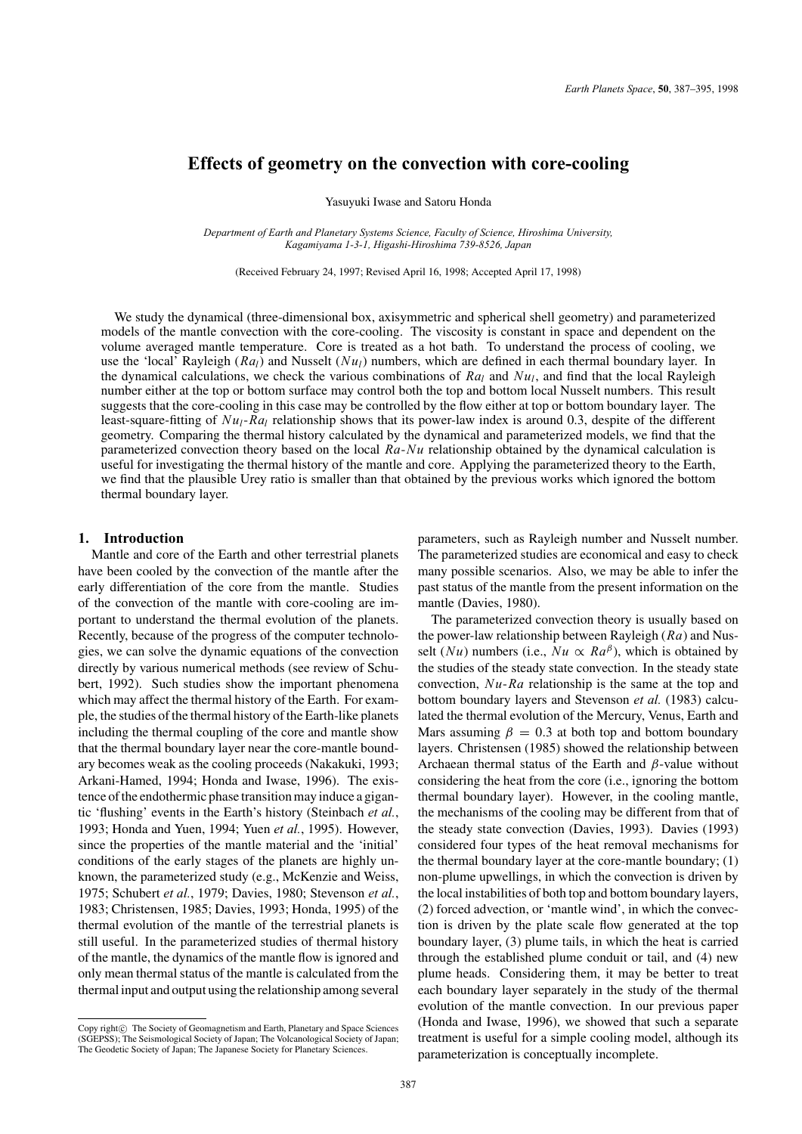# **Effects of geometry on the convection with core-cooling**

Yasuyuki Iwase and Satoru Honda

*Department of Earth and Planetary Systems Science, Faculty of Science, Hiroshima University, Kagamiyama 1-3-1, Higashi-Hiroshima 739-8526, Japan*

(Received February 24, 1997; Revised April 16, 1998; Accepted April 17, 1998)

We study the dynamical (three-dimensional box, axisymmetric and spherical shell geometry) and parameterized models of the mantle convection with the core-cooling. The viscosity is constant in space and dependent on the volume averaged mantle temperature. Core is treated as a hot bath. To understand the process of cooling, we use the 'local' Rayleigh (*Ral*) and Nusselt (*Nul*) numbers, which are defined in each thermal boundary layer. In the dynamical calculations, we check the various combinations of  $Ra_l$  and  $Nu_l$ , and find that the local Rayleigh number either at the top or bottom surface may control both the top and bottom local Nusselt numbers. This result suggests that the core-cooling in this case may be controlled by the flow either at top or bottom boundary layer. The least-square-fitting of *Nul*-*Ral* relationship shows that its power-law index is around 0.3, despite of the different geometry. Comparing the thermal history calculated by the dynamical and parameterized models, we find that the parameterized convection theory based on the local *Ra*-*Nu* relationship obtained by the dynamical calculation is useful for investigating the thermal history of the mantle and core. Applying the parameterized theory to the Earth, we find that the plausible Urey ratio is smaller than that obtained by the previous works which ignored the bottom thermal boundary layer.

# **1. Introduction**

Mantle and core of the Earth and other terrestrial planets have been cooled by the convection of the mantle after the early differentiation of the core from the mantle. Studies of the convection of the mantle with core-cooling are important to understand the thermal evolution of the planets. Recently, because of the progress of the computer technologies, we can solve the dynamic equations of the convection directly by various numerical methods (see review of Schubert, 1992). Such studies show the important phenomena which may affect the thermal history of the Earth. For example, the studies of the thermal history of the Earth-like planets including the thermal coupling of the core and mantle show that the thermal boundary layer near the core-mantle boundary becomes weak as the cooling proceeds (Nakakuki, 1993; Arkani-Hamed, 1994; Honda and Iwase, 1996). The existence of the endothermic phase transition may induce a gigantic 'flushing' events in the Earth's history (Steinbach *et al.*, 1993; Honda and Yuen, 1994; Yuen *et al.*, 1995). However, since the properties of the mantle material and the 'initial' conditions of the early stages of the planets are highly unknown, the parameterized study (e.g., McKenzie and Weiss, 1975; Schubert *et al.*, 1979; Davies, 1980; Stevenson *et al.*, 1983; Christensen, 1985; Davies, 1993; Honda, 1995) of the thermal evolution of the mantle of the terrestrial planets is still useful. In the parameterized studies of thermal history of the mantle, the dynamics of the mantle flow is ignored and only mean thermal status of the mantle is calculated from the thermal input and output using the relationship among several parameters, such as Rayleigh number and Nusselt number. The parameterized studies are economical and easy to check many possible scenarios. Also, we may be able to infer the past status of the mantle from the present information on the mantle (Davies, 1980).

The parameterized convection theory is usually based on the power-law relationship between Rayleigh (*Ra*) and Nusselt (*Nu*) numbers (i.e.,  $Nu \propto Ra^{\beta}$ ), which is obtained by the studies of the steady state convection. In the steady state convection, *Nu*-*Ra* relationship is the same at the top and bottom boundary layers and Stevenson *et al.* (1983) calculated the thermal evolution of the Mercury, Venus, Earth and Mars assuming  $\beta = 0.3$  at both top and bottom boundary layers. Christensen (1985) showed the relationship between Archaean thermal status of the Earth and  $\beta$ -value without considering the heat from the core (i.e., ignoring the bottom thermal boundary layer). However, in the cooling mantle, the mechanisms of the cooling may be different from that of the steady state convection (Davies, 1993). Davies (1993) considered four types of the heat removal mechanisms for the thermal boundary layer at the core-mantle boundary; (1) non-plume upwellings, in which the convection is driven by the local instabilities of both top and bottom boundary layers, (2) forced advection, or 'mantle wind', in which the convection is driven by the plate scale flow generated at the top boundary layer, (3) plume tails, in which the heat is carried through the established plume conduit or tail, and (4) new plume heads. Considering them, it may be better to treat each boundary layer separately in the study of the thermal evolution of the mantle convection. In our previous paper (Honda and Iwase, 1996), we showed that such a separate treatment is useful for a simple cooling model, although its parameterization is conceptually incomplete.

Copy right© The Society of Geomagnetism and Earth, Planetary and Space Sciences (SGEPSS); The Seismological Society of Japan; The Volcanological Society of Japan; The Geodetic Society of Japan; The Japanese Society for Planetary Sciences.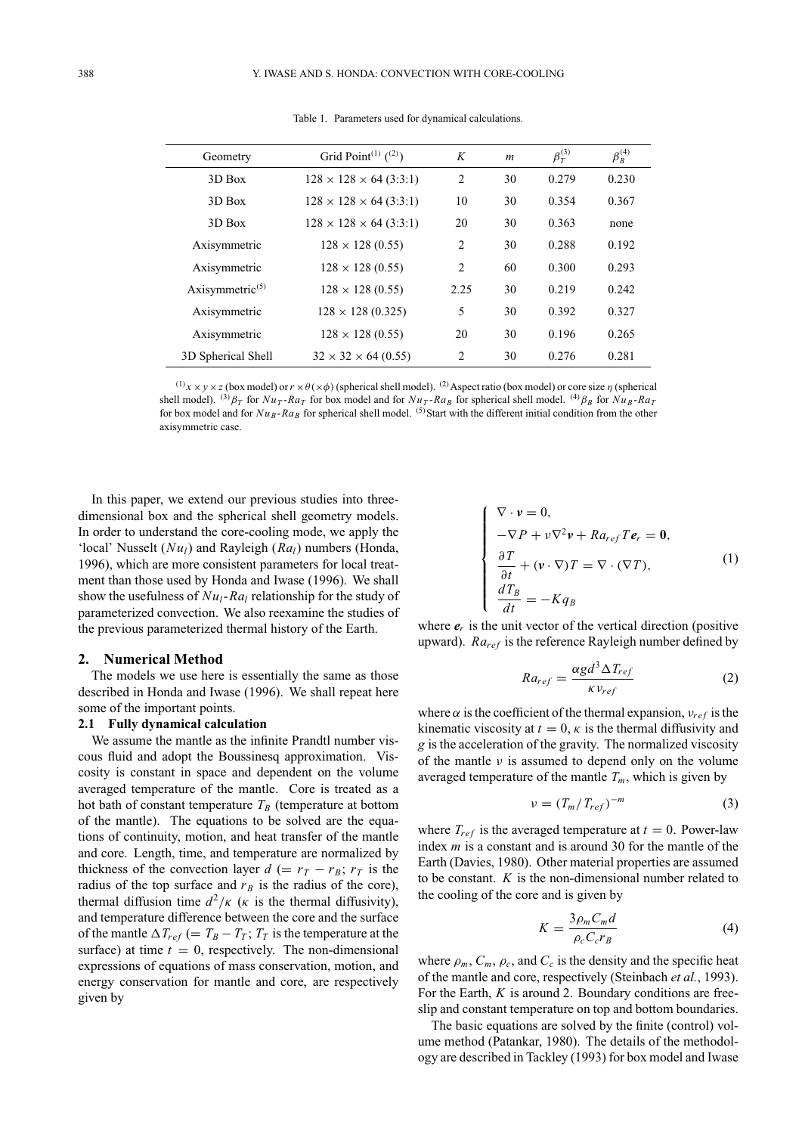| Geometry                    | Grid Point <sup>(1)</sup> $(2)$ )  | K              | $\boldsymbol{m}$ | $\beta_T^{(3)}$ | $\beta_B^{(4)}$ |
|-----------------------------|------------------------------------|----------------|------------------|-----------------|-----------------|
| 3D Box                      | $128 \times 128 \times 64$ (3:3:1) | 2              | 30               | 0.279           | 0.230           |
| 3D Box                      | $128 \times 128 \times 64$ (3:3:1) | 10             | 30               | 0.354           | 0.367           |
| 3D Box                      | $128 \times 128 \times 64$ (3:3:1) | 20             | 30               | 0.363           | none            |
| Axisymmetric                | $128 \times 128 (0.55)$            | $\overline{c}$ | 30               | 0.288           | 0.192           |
| Axisymmetric                | $128 \times 128 (0.55)$            | 2              | 60               | 0.300           | 0.293           |
| Axisymmetric <sup>(5)</sup> | $128 \times 128 (0.55)$            | 2.25           | 30               | 0.219           | 0.242           |
| Axisymmetric                | $128 \times 128 (0.325)$           | 5              | 30               | 0.392           | 0.327           |
| Axisymmetric                | $128 \times 128 (0.55)$            | 20             | 30               | 0.196           | 0.265           |
| 3D Spherical Shell          | $32 \times 32 \times 64 (0.55)$    | $\overline{c}$ | 30               | 0.276           | 0.281           |

Table 1. Parameters used for dynamical calculations.

 $^{(1)}$ *x* × *y* × *z* (box model) or *r* ×  $\theta$ (× $\phi$ ) (spherical shell model). <sup>(2)</sup> Aspect ratio (box model) or core size  $\eta$  (spherical shell model). <sup>(3)</sup> $\beta_T$  for  $Nu_T$ - $Ra_T$  for box model and for  $Nu_T$ - $Ra_B$  for spherical shell model. <sup>(4)</sup> $\beta_B$  for  $Nu_B$ - $Ra_T$ for box model and for  $Nu_B$ - $Ra_B$  for spherical shell model. <sup>(5)</sup>Start with the different initial condition from the other axisymmetric case.

In this paper, we extend our previous studies into threedimensional box and the spherical shell geometry models. In order to understand the core-cooling mode, we apply the 'local' Nusselt (*Nu<sub>l</sub>*) and Rayleigh (*Ra<sub>l</sub>*) numbers (Honda, 1996), which are more consistent parameters for local treatment than those used by Honda and Iwase (1996). We shall show the usefulness of  $Nu_l$ - $Ra_l$  relationship for the study of parameterized convection. We also reexamine the studies of the previous parameterized thermal history of the Earth.

#### **2. Numerical Method**

The models we use here is essentially the same as those described in Honda and Iwase (1996). We shall repeat here some of the important points.

## **2.1 Fully dynamical calculation**

We assume the mantle as the infinite Prandtl number viscous fluid and adopt the Boussinesq approximation. Viscosity is constant in space and dependent on the volume averaged temperature of the mantle. Core is treated as a hot bath of constant temperature  $T_B$  (temperature at bottom of the mantle). The equations to be solved are the equations of continuity, motion, and heat transfer of the mantle and core. Length, time, and temperature are normalized by thickness of the convection layer  $d (= r_T - r_B; r_T)$  is the radius of the top surface and  $r_B$  is the radius of the core), thermal diffusion time  $d^2/\kappa$  ( $\kappa$  is the thermal diffusivity), and temperature difference between the core and the surface of the mantle  $\Delta T_{ref}$  (=  $T_B - T_T$ ;  $T_T$  is the temperature at the surface) at time  $t = 0$ , respectively. The non-dimensional expressions of equations of mass conservation, motion, and energy conservation for mantle and core, are respectively given by

$$
\begin{cases}\n\nabla \cdot \mathbf{v} = 0, \\
-\nabla P + \nu \nabla^2 \mathbf{v} + R a_{ref} T \mathbf{e}_r = \mathbf{0}, \\
\frac{\partial T}{\partial t} + (\mathbf{v} \cdot \nabla) T = \nabla \cdot (\nabla T), \\
\frac{d T_B}{dt} = -K q_B\n\end{cases}
$$
\n(1)

where  $e_r$  is the unit vector of the vertical direction (positive upward).  $Ra_{ref}$  is the reference Rayleigh number defined by

$$
Ra_{ref} = \frac{\alpha g d^3 \Delta T_{ref}}{\kappa v_{ref}} \tag{2}
$$

where  $\alpha$  is the coefficient of the thermal expansion,  $v_{ref}$  is the kinematic viscosity at  $t = 0$ ,  $\kappa$  is the thermal diffusivity and *g* is the acceleration of the gravity. The normalized viscosity of the mantle  $\nu$  is assumed to depend only on the volume averaged temperature of the mantle  $T_m$ , which is given by

$$
v = \left(T_m / T_{ref}\right)^{-m} \tag{3}
$$

where  $T_{ref}$  is the averaged temperature at  $t = 0$ . Power-law index *m* is a constant and is around 30 for the mantle of the Earth (Davies, 1980). Other material properties are assumed to be constant. *K* is the non-dimensional number related to the cooling of the core and is given by

$$
K = \frac{3\rho_m C_m d}{\rho_c C_c r_B} \tag{4}
$$

where  $\rho_m$ ,  $C_m$ ,  $\rho_c$ , and  $C_c$  is the density and the specific heat of the mantle and core, respectively (Steinbach *et al.*, 1993). For the Earth, *K* is around 2. Boundary conditions are freeslip and constant temperature on top and bottom boundaries.

The basic equations are solved by the finite (control) volume method (Patankar, 1980). The details of the methodology are described in Tackley (1993) for box model and Iwase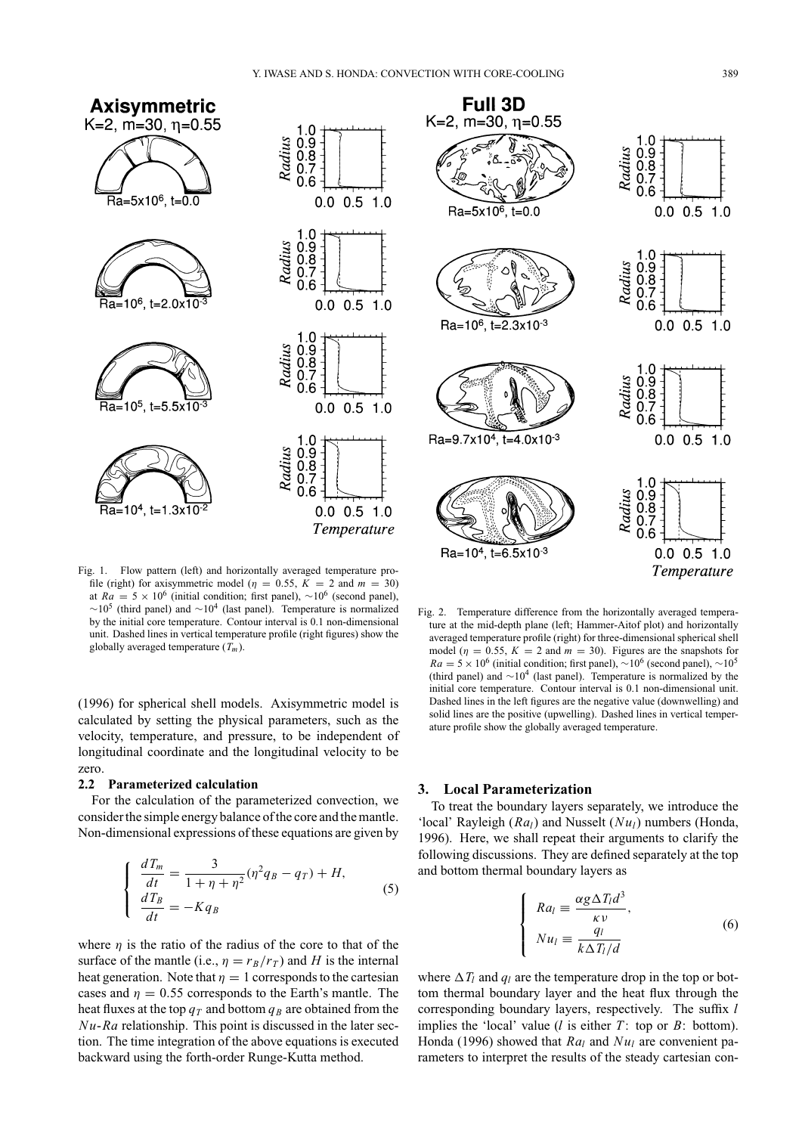

Fig. 1. Flow pattern (left) and horizontally averaged temperature profile (right) for axisymmetric model ( $\eta = 0.55$ ,  $K = 2$  and  $m = 30$ ) at  $Ra = 5 \times 10^6$  (initial condition; first panel), ~10<sup>6</sup> (second panel),  $\sim$ 10<sup>5</sup> (third panel) and  $\sim$ 10<sup>4</sup> (last panel). Temperature is normalized by the initial core temperature. Contour interval is 0.1 non-dimensional unit. Dashed lines in vertical temperature profile (right figures) show the globally averaged temperature (*Tm*).

(1996) for spherical shell models. Axisymmetric model is calculated by setting the physical parameters, such as the velocity, temperature, and pressure, to be independent of longitudinal coordinate and the longitudinal velocity to be zero.

#### **2.2 Parameterized calculation**

For the calculation of the parameterized convection, we consider the simple energy balance of the core and the mantle. Non-dimensional expressions of these equations are given by

$$
\begin{cases}\n\frac{dT_m}{dt} = \frac{3}{1 + \eta + \eta^2} (\eta^2 q_B - q_T) + H, \n\frac{dT_B}{dt} = -Kq_B\n\end{cases}
$$
\n(5)

where  $\eta$  is the ratio of the radius of the core to that of the surface of the mantle (i.e.,  $\eta = r_B/r_T$ ) and *H* is the internal heat generation. Note that  $\eta = 1$  corresponds to the cartesian cases and  $\eta = 0.55$  corresponds to the Earth's mantle. The heat fluxes at the top  $q_T$  and bottom  $q_B$  are obtained from the *Nu*-*Ra* relationship. This point is discussed in the later section. The time integration of the above equations is executed backward using the forth-order Runge-Kutta method.



Fig. 2. Temperature difference from the horizontally averaged temperature at the mid-depth plane (left; Hammer-Aitof plot) and horizontally averaged temperature profile (right) for three-dimensional spherical shell model ( $\eta = 0.55$ ,  $K = 2$  and  $m = 30$ ). Figures are the snapshots for  $Ra = 5 \times 10^6$  (initial condition; first panel), ~10<sup>6</sup> (second panel), ~10<sup>5</sup> (third panel) and  $\sim 10^4$  (last panel). Temperature is normalized by the initial core temperature. Contour interval is 0.1 non-dimensional unit. Dashed lines in the left figures are the negative value (downwelling) and solid lines are the positive (upwelling). Dashed lines in vertical temperature profile show the globally averaged temperature.

# **3. Local Parameterization**

 $\sqrt{ }$  $\int$ 

 $\overline{\mathsf{I}}$ 

To treat the boundary layers separately, we introduce the 'local' Rayleigh (*Ra<sub>l</sub>*) and Nusselt (*Nu<sub>l</sub>*) numbers (Honda, 1996). Here, we shall repeat their arguments to clarify the following discussions. They are defined separately at the top and bottom thermal boundary layers as

$$
Ra_{l} \equiv \frac{\alpha g \Delta T_{l} d^{3}}{\kappa \nu},
$$
  
\n
$$
Nu_{l} \equiv \frac{q_{l}}{k \Delta T_{l}/d}
$$
\n(6)

where  $\Delta T_l$  and  $q_l$  are the temperature drop in the top or bottom thermal boundary layer and the heat flux through the corresponding boundary layers, respectively. The suffix *l* implies the 'local' value ( $l$  is either  $T$ : top or  $B$ : bottom). Honda (1996) showed that *Ra<sub>l</sub>* and *Nu<sub>l</sub>* are convenient parameters to interpret the results of the steady cartesian con-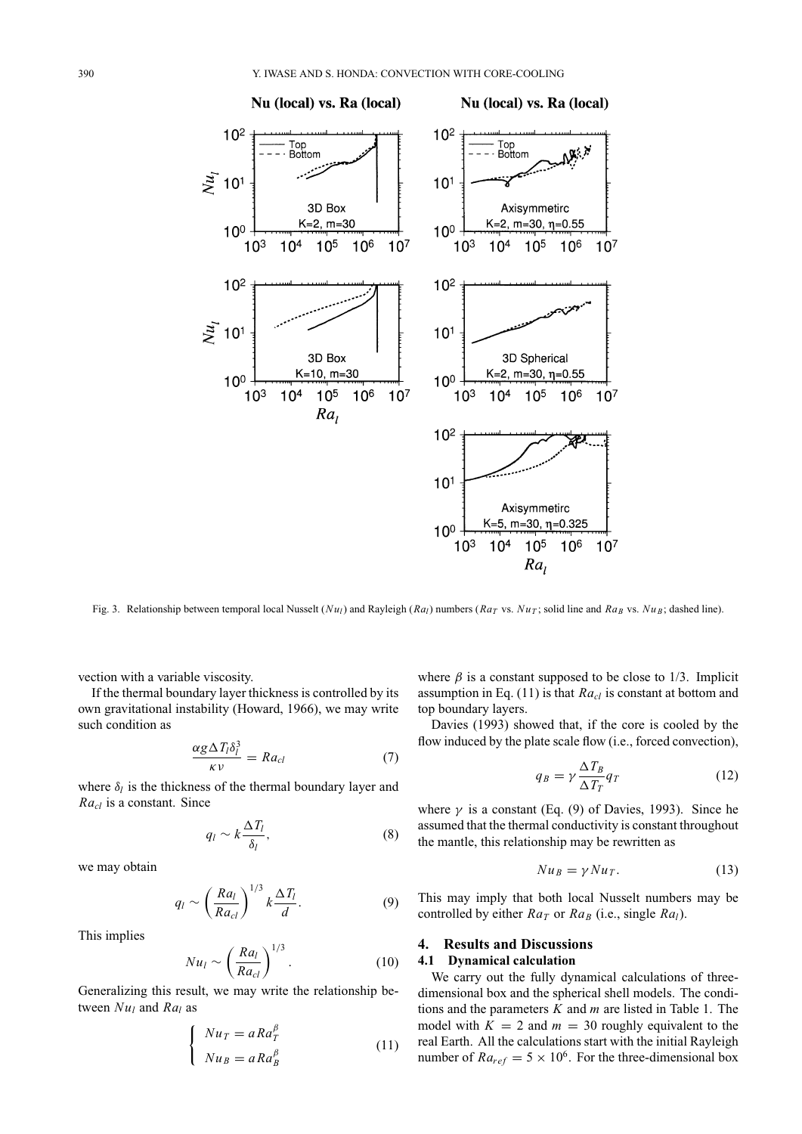

Fig. 3. Relationship between temporal local Nusselt ( $Nu<sub>l</sub>$ ) and Rayleigh ( $Ra<sub>l</sub>$ ) numbers ( $Ra<sub>T</sub>$  vs.  $Nu<sub>T</sub>$ ; solid line and  $Ra<sub>B</sub>$  vs.  $Nu<sub>B</sub>$ ; dashed line).

vection with a variable viscosity.

If the thermal boundary layer thickness is controlled by its own gravitational instability (Howard, 1966), we may write such condition as

$$
\frac{\alpha g \Delta T_l \delta_l^3}{\kappa \nu} = R a_{cl} \tag{7}
$$

where  $\delta_l$  is the thickness of the thermal boundary layer and *Racl* is a constant. Since

$$
q_l \sim k \frac{\Delta T_l}{\delta_l},\tag{8}
$$

we may obtain

$$
q_l \sim \left(\frac{Ra_l}{Ra_{cl}}\right)^{1/3} k \frac{\Delta T_l}{d}.\tag{9}
$$

This implies

$$
Nu_l \sim \left(\frac{Ra_l}{Ra_{cl}}\right)^{1/3}.\tag{10}
$$

Generalizing this result, we may write the relationship between  $Nu_l$  and  $Ra_l$  as

$$
\begin{cases}\nNu_T = aRa_T^{\beta} \\
Nu_B = aRa_B^{\beta}\n\end{cases}
$$
\n(11)

where  $\beta$  is a constant supposed to be close to 1/3. Implicit assumption in Eq. (11) is that *Ra<sub>cl</sub>* is constant at bottom and top boundary layers.

Davies (1993) showed that, if the core is cooled by the flow induced by the plate scale flow (i.e., forced convection),

$$
q_B = \gamma \frac{\Delta T_B}{\Delta T_T} q_T \tag{12}
$$

where  $\gamma$  is a constant (Eq. (9) of Davies, 1993). Since he assumed that the thermal conductivity is constant throughout the mantle, this relationship may be rewritten as

$$
Nu_B = \gamma Nu_T. \tag{13}
$$

This may imply that both local Nusselt numbers may be controlled by either  $Ra_T$  or  $Ra_B$  (i.e., single  $Ra_I$ ).

#### **4. Results and Discussions**

## **4.1 Dynamical calculation**

We carry out the fully dynamical calculations of threedimensional box and the spherical shell models. The conditions and the parameters *K* and *m* are listed in Table 1. The model with  $K = 2$  and  $m = 30$  roughly equivalent to the real Earth. All the calculations start with the initial Rayleigh number of  $Ra_{ref} = 5 \times 10^6$ . For the three-dimensional box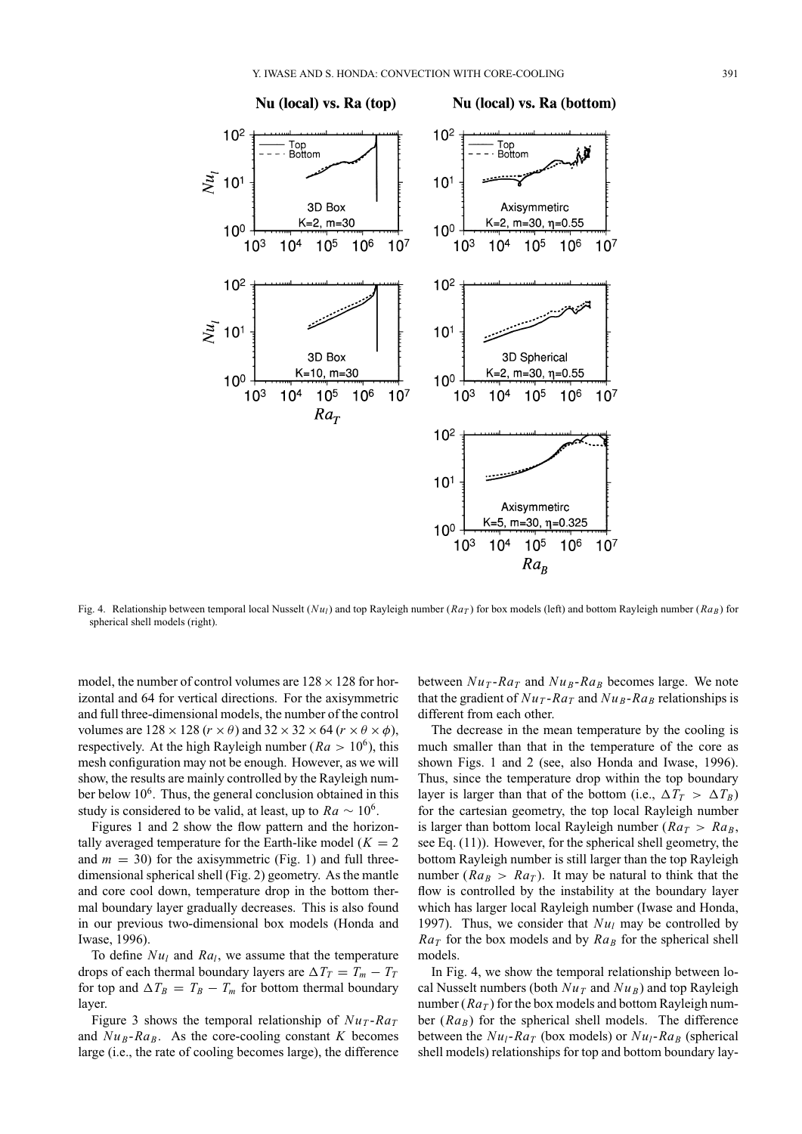

Nu (local) vs. Ra (bottom)



Fig. 4. Relationship between temporal local Nusselt ( $Nu_l$ ) and top Rayleigh number ( $Ra_T$ ) for box models (left) and bottom Rayleigh number ( $Ra_B$ ) for spherical shell models (right).

model, the number of control volumes are  $128 \times 128$  for horizontal and 64 for vertical directions. For the axisymmetric and full three-dimensional models, the number of the control volumes are  $128 \times 128$  ( $r \times \theta$ ) and  $32 \times 32 \times 64$  ( $r \times \theta \times \phi$ ), respectively. At the high Rayleigh number ( $Ra > 10^6$ ), this mesh configuration may not be enough. However, as we will show, the results are mainly controlled by the Rayleigh number below  $10<sup>6</sup>$ . Thus, the general conclusion obtained in this study is considered to be valid, at least, up to  $Ra \sim 10^6$ .

Figures 1 and 2 show the flow pattern and the horizontally averaged temperature for the Earth-like model  $(K = 2)$ and  $m = 30$ ) for the axisymmetric (Fig. 1) and full threedimensional spherical shell (Fig. 2) geometry. As the mantle and core cool down, temperature drop in the bottom thermal boundary layer gradually decreases. This is also found in our previous two-dimensional box models (Honda and Iwase, 1996).

To define  $Nu_l$  and  $Ra_l$ , we assume that the temperature drops of each thermal boundary layers are  $\Delta T_T = T_m - T_T$ for top and  $\Delta T_B = T_B - T_m$  for bottom thermal boundary layer.

Figure 3 shows the temporal relationship of  $Nu_T$ - $Ra_T$ and  $Nu_B-Ra_B$ . As the core-cooling constant *K* becomes large (i.e., the rate of cooling becomes large), the difference between  $Nu_T$ - $Ra_T$  and  $Nu_B$ - $Ra_B$  becomes large. We note that the gradient of  $Nu_T$ - $Ra_T$  and  $Nu_B$ - $Ra_B$  relationships is different from each other.

The decrease in the mean temperature by the cooling is much smaller than that in the temperature of the core as shown Figs. 1 and 2 (see, also Honda and Iwase, 1996). Thus, since the temperature drop within the top boundary layer is larger than that of the bottom (i.e.,  $\Delta T_T > \Delta T_B$ ) for the cartesian geometry, the top local Rayleigh number is larger than bottom local Rayleigh number ( $Ra_T > Ra_B$ , see Eq. (11)). However, for the spherical shell geometry, the bottom Rayleigh number is still larger than the top Rayleigh number ( $Ra_B > Ra_T$ ). It may be natural to think that the flow is controlled by the instability at the boundary layer which has larger local Rayleigh number (Iwase and Honda, 1997). Thus, we consider that  $Nu_l$  may be controlled by  $Ra_T$  for the box models and by  $Ra_B$  for the spherical shell models.

In Fig. 4, we show the temporal relationship between local Nusselt numbers (both  $Nu_T$  and  $Nu_B$ ) and top Rayleigh number  $(Ra_T)$  for the box models and bottom Rayleigh number  $(Ra_B)$  for the spherical shell models. The difference between the  $Nu_1$ - $Ra_T$  (box models) or  $Nu_1$ - $Ra_B$  (spherical shell models) relationships for top and bottom boundary lay-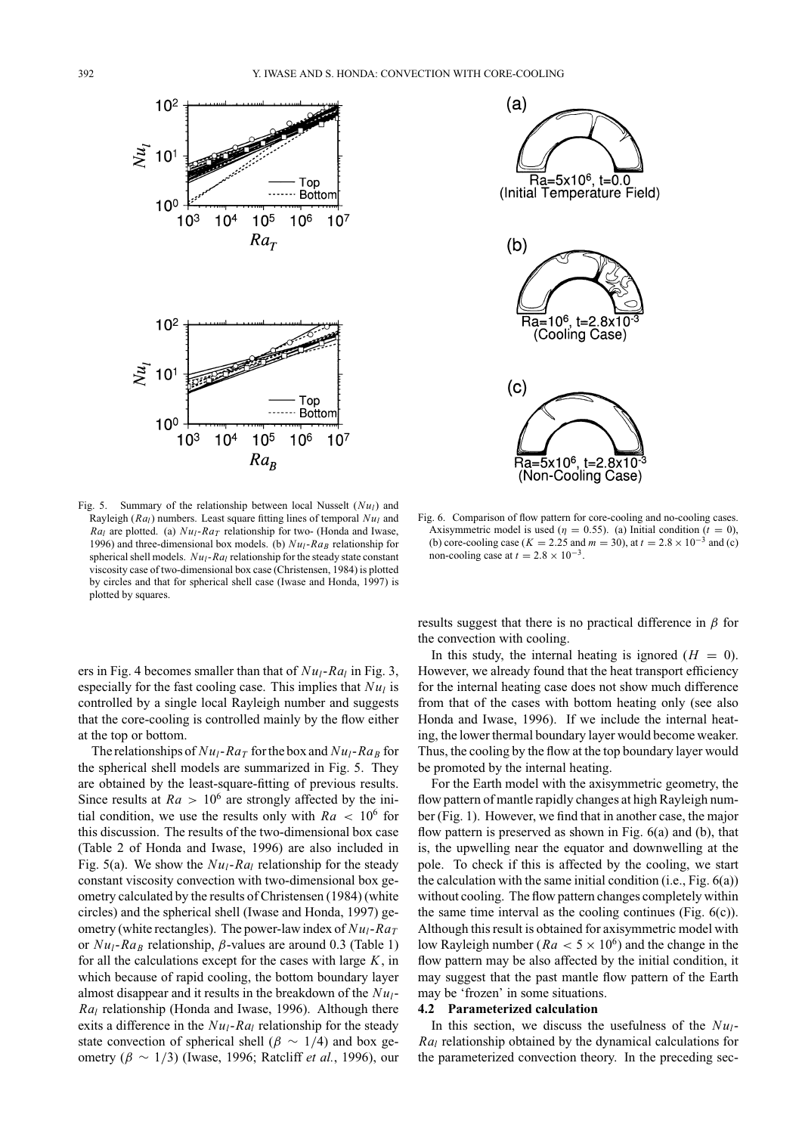



Fig. 5. Summary of the relationship between local Nusselt  $(Nu_l)$  and Rayleigh  $(Ra_l)$  numbers. Least square fitting lines of temporal  $Nu_l$  and *Ral* are plotted. (a)  $Nu_l$ -*RaT* relationship for two- (Honda and Iwase, 1996) and three-dimensional box models. (b)  $Nu_1$ - $Ra_B$  relationship for spherical shell models. *Nu<sub>l</sub>*-*Ra<sub>l</sub>* relationship for the steady state constant viscosity case of two-dimensional box case (Christensen, 1984) is plotted by circles and that for spherical shell case (Iwase and Honda, 1997) is plotted by squares.

ers in Fig. 4 becomes smaller than that of  $Nu_l$ - $Ra_l$  in Fig. 3, especially for the fast cooling case. This implies that  $Nu<sub>l</sub>$  is controlled by a single local Rayleigh number and suggests that the core-cooling is controlled mainly by the flow either at the top or bottom.

The relationships of  $Nu_l$ - $Ra_T$  for the box and  $Nu_l$ - $Ra_B$  for the spherical shell models are summarized in Fig. 5. They are obtained by the least-square-fitting of previous results. Since results at  $Ra > 10^6$  are strongly affected by the initial condition, we use the results only with  $Ra < 10^6$  for this discussion. The results of the two-dimensional box case (Table 2 of Honda and Iwase, 1996) are also included in Fig. 5(a). We show the  $Nu_l$ - $Ra_l$  relationship for the steady constant viscosity convection with two-dimensional box geometry calculated by the results of Christensen (1984) (white circles) and the spherical shell (Iwase and Honda, 1997) geometry (white rectangles). The power-law index of  $Nu_l$ - $Ra_T$ or  $Nu_l$ - $Ra_B$  relationship,  $\beta$ -values are around 0.3 (Table 1) for all the calculations except for the cases with large *K*, in which because of rapid cooling, the bottom boundary layer almost disappear and it results in the breakdown of the *Nul*-*Ral* relationship (Honda and Iwase, 1996). Although there exits a difference in the  $Nu_l$ - $Ra_l$  relationship for the steady state convection of spherical shell ( $\beta \sim 1/4$ ) and box geometry (β ∼ 1/3) (Iwase, 1996; Ratcliff *et al.*, 1996), our

Fig. 6. Comparison of flow pattern for core-cooling and no-cooling cases. Axisymmetric model is used ( $\eta = 0.55$ ). (a) Initial condition ( $t = 0$ ), (b) core-cooling case ( $K = 2.25$  and  $m = 30$ ), at  $t = 2.8 \times 10^{-3}$  and (c) non-cooling case at  $t = 2.8 \times 10^{-3}$ .

results suggest that there is no practical difference in  $\beta$  for the convection with cooling.

In this study, the internal heating is ignored  $(H = 0)$ . However, we already found that the heat transport efficiency for the internal heating case does not show much difference from that of the cases with bottom heating only (see also Honda and Iwase, 1996). If we include the internal heating, the lower thermal boundary layer would become weaker. Thus, the cooling by the flow at the top boundary layer would be promoted by the internal heating.

For the Earth model with the axisymmetric geometry, the flow pattern of mantle rapidly changes at high Rayleigh number (Fig. 1). However, we find that in another case, the major flow pattern is preserved as shown in Fig. 6(a) and (b), that is, the upwelling near the equator and downwelling at the pole. To check if this is affected by the cooling, we start the calculation with the same initial condition (i.e., Fig. 6(a)) without cooling. The flow pattern changes completely within the same time interval as the cooling continues (Fig.  $6(c)$ ). Although this result is obtained for axisymmetric model with low Rayleigh number ( $Ra < 5 \times 10^6$ ) and the change in the flow pattern may be also affected by the initial condition, it may suggest that the past mantle flow pattern of the Earth may be 'frozen' in some situations.

### **4.2 Parameterized calculation**

In this section, we discuss the usefulness of the  $Nu<sub>l</sub>$ -*Ral* relationship obtained by the dynamical calculations for the parameterized convection theory. In the preceding sec-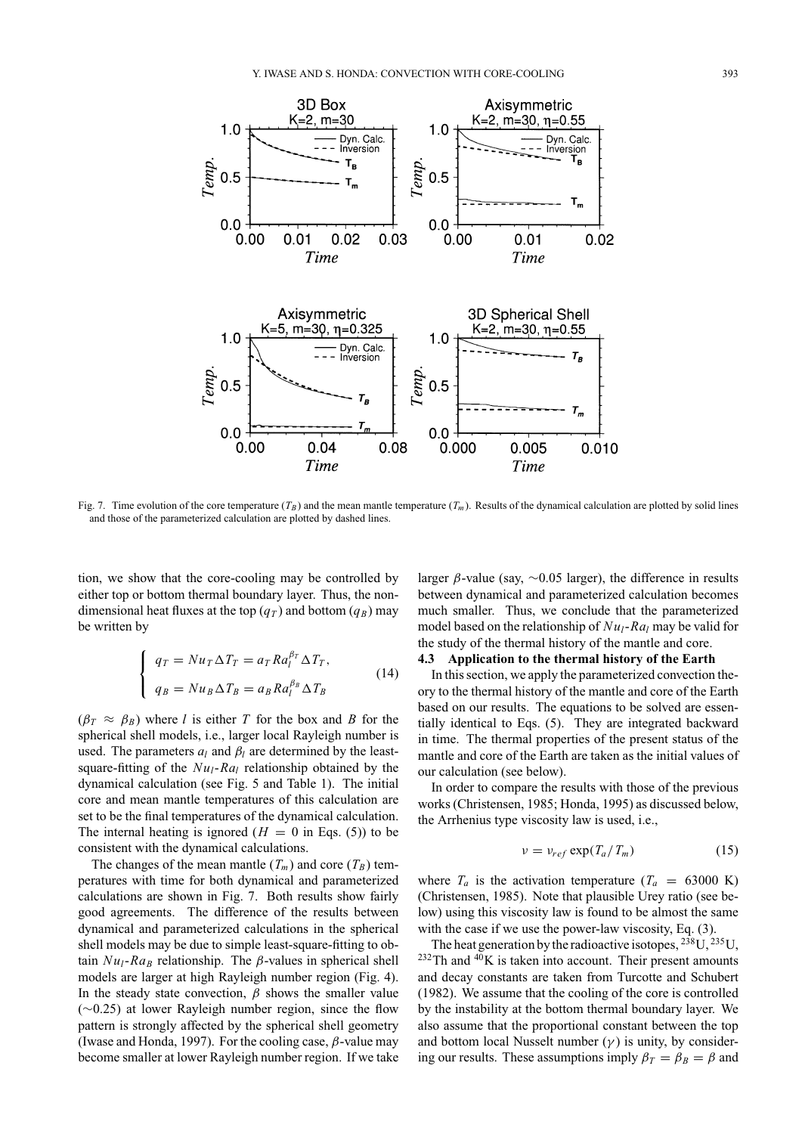

Fig. 7. Time evolution of the core temperature  $(T_B)$  and the mean mantle temperature  $(T_m)$ . Results of the dynamical calculation are plotted by solid lines and those of the parameterized calculation are plotted by dashed lines.

tion, we show that the core-cooling may be controlled by either top or bottom thermal boundary layer. Thus, the nondimensional heat fluxes at the top  $(q_T)$  and bottom  $(q_B)$  may be written by

$$
\begin{cases}\n q_T = Nu_T \Delta T_T = a_T R a_l^{\beta_T} \Delta T_T, \\
 q_B = Nu_B \Delta T_B = a_B R a_l^{\beta_B} \Delta T_B\n\end{cases}
$$
\n(14)

 $(\beta_T \approx \beta_B)$  where *l* is either *T* for the box and *B* for the spherical shell models, i.e., larger local Rayleigh number is used. The parameters  $a_l$  and  $\beta_l$  are determined by the leastsquare-fitting of the  $Nu_l$ - $Ra_l$  relationship obtained by the dynamical calculation (see Fig. 5 and Table 1). The initial core and mean mantle temperatures of this calculation are set to be the final temperatures of the dynamical calculation. The internal heating is ignored  $(H = 0$  in Eqs. (5)) to be consistent with the dynamical calculations.

The changes of the mean mantle  $(T_m)$  and core  $(T_B)$  temperatures with time for both dynamical and parameterized calculations are shown in Fig. 7. Both results show fairly good agreements. The difference of the results between dynamical and parameterized calculations in the spherical shell models may be due to simple least-square-fitting to obtain  $Nu_l$ - $Ra_B$  relationship. The  $\beta$ -values in spherical shell models are larger at high Rayleigh number region (Fig. 4). In the steady state convection,  $\beta$  shows the smaller value (∼0.25) at lower Rayleigh number region, since the flow pattern is strongly affected by the spherical shell geometry (Iwase and Honda, 1997). For the cooling case,  $\beta$ -value may become smaller at lower Rayleigh number region. If we take larger  $\beta$ -value (say, ~0.05 larger), the difference in results between dynamical and parameterized calculation becomes much smaller. Thus, we conclude that the parameterized model based on the relationship of  $Nu_l$ -*Ral* may be valid for the study of the thermal history of the mantle and core.

## **4.3 Application to the thermal history of the Earth**

In this section, we apply the parameterized convection theory to the thermal history of the mantle and core of the Earth based on our results. The equations to be solved are essentially identical to Eqs. (5). They are integrated backward in time. The thermal properties of the present status of the mantle and core of the Earth are taken as the initial values of our calculation (see below).

In order to compare the results with those of the previous works (Christensen, 1985; Honda, 1995) as discussed below, the Arrhenius type viscosity law is used, i.e.,

$$
\nu = \nu_{ref} \exp(T_a/T_m) \tag{15}
$$

where  $T_a$  is the activation temperature  $(T_a = 63000 \text{ K})$ (Christensen, 1985). Note that plausible Urey ratio (see below) using this viscosity law is found to be almost the same with the case if we use the power-law viscosity, Eq. (3).

The heat generation by the radioactive isotopes,  $^{238}$ U,  $^{235}$ U,  $^{232}$ Th and  $^{40}$ K is taken into account. Their present amounts and decay constants are taken from Turcotte and Schubert (1982). We assume that the cooling of the core is controlled by the instability at the bottom thermal boundary layer. We also assume that the proportional constant between the top and bottom local Nusselt number  $(\gamma)$  is unity, by considering our results. These assumptions imply  $\beta_T = \beta_B = \beta$  and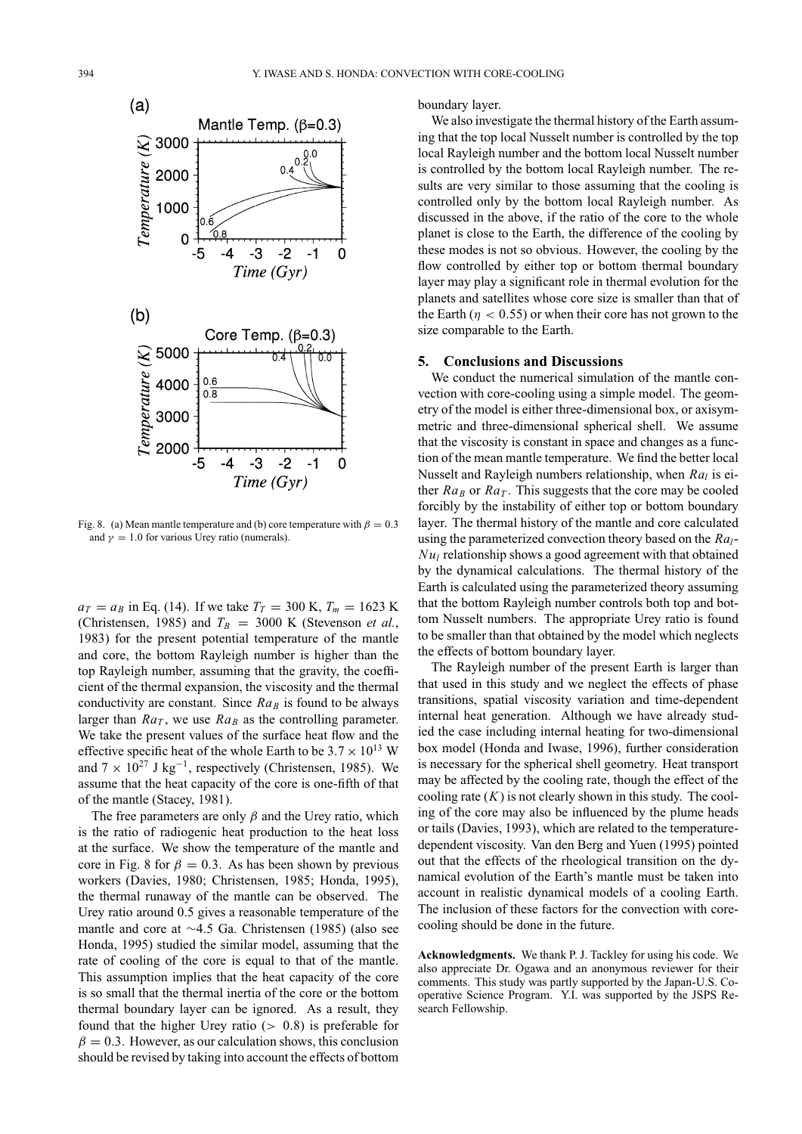

Fig. 8. (a) Mean mantle temperature and (b) core temperature with  $\beta = 0.3$ and  $\gamma = 1.0$  for various Urey ratio (numerals).

 $a_T = a_B$  in Eq. (14). If we take  $T_T = 300$  K,  $T_m = 1623$  K (Christensen, 1985) and  $T_B = 3000$  K (Stevenson *et al.*, 1983) for the present potential temperature of the mantle and core, the bottom Rayleigh number is higher than the top Rayleigh number, assuming that the gravity, the coefficient of the thermal expansion, the viscosity and the thermal conductivity are constant. Since  $Ra_B$  is found to be always larger than  $Ra_T$ , we use  $Ra_B$  as the controlling parameter. We take the present values of the surface heat flow and the effective specific heat of the whole Earth to be  $3.7 \times 10^{13}$  W and  $7 \times 10^{27}$  J kg<sup>-1</sup>, respectively (Christensen, 1985). We assume that the heat capacity of the core is one-fifth of that of the mantle (Stacey, 1981).

The free parameters are only  $\beta$  and the Urey ratio, which is the ratio of radiogenic heat production to the heat loss at the surface. We show the temperature of the mantle and core in Fig. 8 for  $\beta = 0.3$ . As has been shown by previous workers (Davies, 1980; Christensen, 1985; Honda, 1995), the thermal runaway of the mantle can be observed. The Urey ratio around 0.5 gives a reasonable temperature of the mantle and core at ∼4.5 Ga. Christensen (1985) (also see Honda, 1995) studied the similar model, assuming that the rate of cooling of the core is equal to that of the mantle. This assumption implies that the heat capacity of the core is so small that the thermal inertia of the core or the bottom thermal boundary layer can be ignored. As a result, they found that the higher Urey ratio  $(> 0.8)$  is preferable for  $\beta = 0.3$ . However, as our calculation shows, this conclusion should be revised by taking into account the effects of bottom

boundary layer.

We also investigate the thermal history of the Earth assuming that the top local Nusselt number is controlled by the top local Rayleigh number and the bottom local Nusselt number is controlled by the bottom local Rayleigh number. The results are very similar to those assuming that the cooling is controlled only by the bottom local Rayleigh number. As discussed in the above, if the ratio of the core to the whole planet is close to the Earth, the difference of the cooling by these modes is not so obvious. However, the cooling by the flow controlled by either top or bottom thermal boundary layer may play a significant role in thermal evolution for the planets and satellites whose core size is smaller than that of the Earth ( $\eta$  < 0.55) or when their core has not grown to the size comparable to the Earth.

### **5. Conclusions and Discussions**

We conduct the numerical simulation of the mantle convection with core-cooling using a simple model. The geometry of the model is either three-dimensional box, or axisymmetric and three-dimensional spherical shell. We assume that the viscosity is constant in space and changes as a function of the mean mantle temperature. We find the better local Nusselt and Rayleigh numbers relationship, when *Ral* is either  $Ra_B$  or  $Ra_T$ . This suggests that the core may be cooled forcibly by the instability of either top or bottom boundary layer. The thermal history of the mantle and core calculated using the parameterized convection theory based on the *Ral*-*Nu<sub>l</sub>* relationship shows a good agreement with that obtained by the dynamical calculations. The thermal history of the Earth is calculated using the parameterized theory assuming that the bottom Rayleigh number controls both top and bottom Nusselt numbers. The appropriate Urey ratio is found to be smaller than that obtained by the model which neglects the effects of bottom boundary layer.

The Rayleigh number of the present Earth is larger than that used in this study and we neglect the effects of phase transitions, spatial viscosity variation and time-dependent internal heat generation. Although we have already studied the case including internal heating for two-dimensional box model (Honda and Iwase, 1996), further consideration is necessary for the spherical shell geometry. Heat transport may be affected by the cooling rate, though the effect of the cooling rate  $(K)$  is not clearly shown in this study. The cooling of the core may also be influenced by the plume heads or tails (Davies, 1993), which are related to the temperaturedependent viscosity. Van den Berg and Yuen (1995) pointed out that the effects of the rheological transition on the dynamical evolution of the Earth's mantle must be taken into account in realistic dynamical models of a cooling Earth. The inclusion of these factors for the convection with corecooling should be done in the future.

**Acknowledgments.** We thank P. J. Tackley for using his code. We also appreciate Dr. Ogawa and an anonymous reviewer for their comments. This study was partly supported by the Japan-U.S. Cooperative Science Program. Y.I. was supported by the JSPS Research Fellowship.